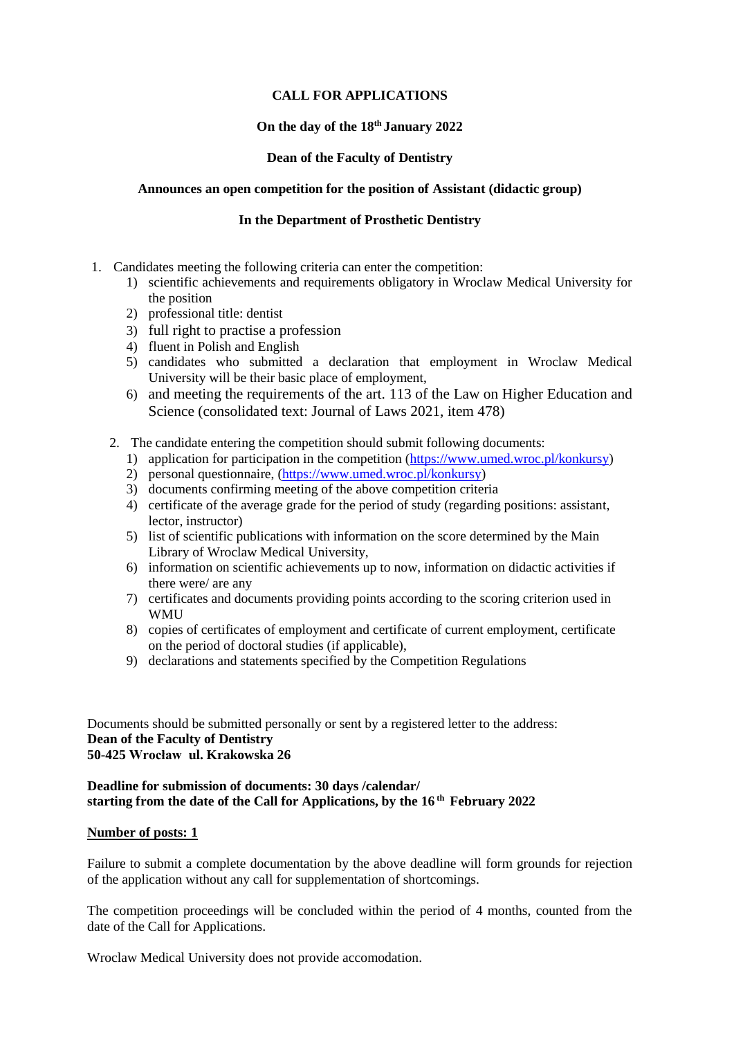# **CALL FOR APPLICATIONS**

## **On the day of the 18 th January 2022**

# **Dean of the Faculty of Dentistry**

## **Announces an open competition for the position of Assistant (didactic group)**

## **In the [Department of Prosthetic](https://www.en.umed.wroc.pl/en-ortopedia-ortodoncja) Dentistry**

- 1. Candidates meeting the following criteria can enter the competition:
	- 1) scientific achievements and requirements obligatory in Wroclaw Medical University for the position
	- 2) professional title: dentist
	- 3) full right to practise a profession
	- 4) fluent in Polish and English
	- 5) candidates who submitted a declaration that employment in Wroclaw Medical University will be their basic place of employment,
	- 6) and meeting the requirements of the art. 113 of the Law on Higher Education and Science (consolidated text: Journal of Laws 2021, item 478)
	- 2. The candidate entering the competition should submit following documents:
		- 1) application for participation in the competition [\(https://www.umed.wroc.pl/konkursy\)](https://www.umed.wroc.pl/konkursy)
		- 2) personal questionnaire, [\(https://www.umed.wroc.pl/konkursy\)](https://www.umed.wroc.pl/konkursy)
		- 3) documents confirming meeting of the above competition criteria
		- 4) certificate of the average grade for the period of study (regarding positions: assistant, lector, instructor)
		- 5) list of scientific publications with information on the score determined by the Main Library of Wroclaw Medical University,
		- 6) information on scientific achievements up to now, information on didactic activities if there were/ are any
		- 7) certificates and documents providing points according to the scoring criterion used in **WMU**
		- 8) copies of certificates of employment and certificate of current employment, certificate on the period of doctoral studies (if applicable),
		- 9) declarations and statements specified by the Competition Regulations

#### Documents should be submitted personally or sent by a registered letter to the address: **Dean of the Faculty of Dentistry 50-425 Wrocław ul. Krakowska 26**

### **Deadline for submission of documents: 30 days /calendar/ starting from the date of the Call for Applications, by the 16 th February 2022**

### **Number of posts: 1**

Failure to submit a complete documentation by the above deadline will form grounds for rejection of the application without any call for supplementation of shortcomings.

The competition proceedings will be concluded within the period of 4 months, counted from the date of the Call for Applications.

Wroclaw Medical University does not provide accomodation.